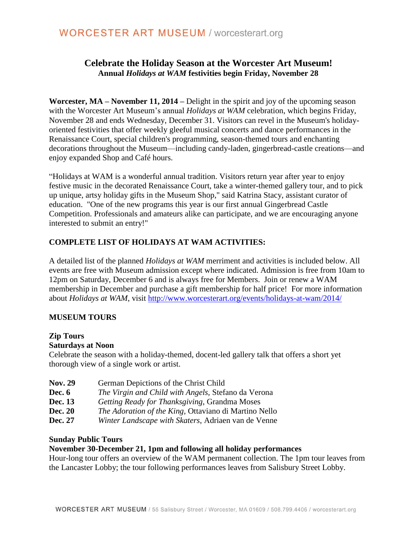## **Celebrate the Holiday Season at the Worcester Art Museum! Annual** *Holidays at WAM* **festivities begin Friday, November 28**

**Worcester, MA – November 11, 2014 –** Delight in the spirit and joy of the upcoming season with the Worcester Art Museum's annual *Holidays at WAM* celebration, which begins Friday, November 28 and ends Wednesday, December 31. Visitors can revel in the Museum's holidayoriented festivities that offer weekly gleeful musical concerts and dance performances in the Renaissance Court, special children's programming, season-themed tours and enchanting decorations throughout the Museum—including candy-laden, gingerbread-castle creations—and enjoy expanded Shop and Café hours.

"Holidays at WAM is a wonderful annual tradition. Visitors return year after year to enjoy festive music in the decorated Renaissance Court, take a winter-themed gallery tour, and to pick up unique, artsy holiday gifts in the Museum Shop," said Katrina Stacy, assistant curator of education. "One of the new programs this year is our first annual Gingerbread Castle Competition. Professionals and amateurs alike can participate, and we are encouraging anyone interested to submit an entry!"

## **COMPLETE LIST OF HOLIDAYS AT WAM ACTIVITIES:**

A detailed list of the planned *Holidays at WAM* merriment and activities is included below. All events are free with Museum admission except where indicated. Admission is free from 10am to 12pm on Saturday, December 6 and is always free for Members. Join or renew a WAM membership in December and purchase a gift membership for half price! For more information about *Holidays at WAM*, visit<http://www.worcesterart.org/events/holidays-at-wam/2014/>

## **MUSEUM TOURS**

## **Zip Tours**

### **Saturdays at Noon**

Celebrate the season with a holiday-themed, docent-led gallery talk that offers a short yet thorough view of a single work or artist.

| <b>Nov. 29</b> | German Depictions of the Christ Child                        |
|----------------|--------------------------------------------------------------|
| Dec. $6$       | The Virgin and Child with Angels, Stefano da Verona          |
| Dec. 13        | Getting Ready for Thanksgiving, Grandma Moses                |
| <b>Dec. 20</b> | <i>The Adoration of the King, Ottaviano di Martino Nello</i> |
| Dec. 27        | Winter Landscape with Skaters, Adriaen van de Venne          |

### **Sunday Public Tours**

### **November 30-December 21, 1pm and following all holiday performances**

Hour-long tour offers an overview of the WAM permanent collection. The 1pm tour leaves from the Lancaster Lobby; the tour following performances leaves from Salisbury Street Lobby.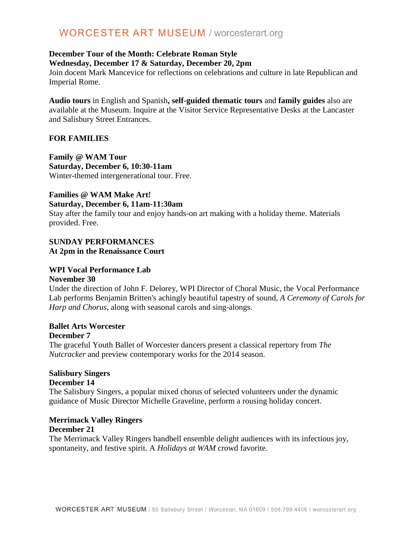# **WORCESTER ART MUSEUM / worcesterart.org**

### **December Tour of the Month: Celebrate Roman Style Wednesday, December 17 & Saturday, December 20, 2pm**

Join docent Mark Mancevice for reflections on celebrations and culture in late Republican and Imperial Rome.

**Audio tours** in English and Spanish**, self-guided thematic tours** and **family guides** also are available at the Museum. Inquire at the Visitor Service Representative Desks at the Lancaster and Salisbury Street Entrances.

### **FOR FAMILIES**

**Family @ WAM Tour Saturday, December 6, 10:30-11am** Winter-themed intergenerational tour. Free.

# **Families @ WAM Make Art!**

**Saturday, December 6, 11am-11:30am**

Stay after the family tour and enjoy hands-on art making with a holiday theme. Materials provided. Free.

### **SUNDAY PERFORMANCES At 2pm in the Renaissance Court**

### **WPI Vocal Performance Lab**

### **November 30**

Under the direction of John F. Delorey, WPI Director of Choral Music, the Vocal Performance Lab performs Benjamin Britten's achingly beautiful tapestry of sound, *A Ceremony of Carols for Harp and Chorus*, along with seasonal carols and sing-alongs.

### **Ballet Arts Worcester**

### **December 7**

The graceful Youth Ballet of Worcester dancers present a classical repertory from *The Nutcracker* and preview contemporary works for the 2014 season.

### **Salisbury Singers**

### **December 14**

The Salisbury Singers, a popular mixed chorus of selected volunteers under the dynamic guidance of Music Director Michelle Graveline, perform a rousing holiday concert.

# **Merrimack Valley Ringers**

### **December 21**

The Merrimack Valley Ringers handbell ensemble delight audiences with its infectious joy, spontaneity, and festive spirit. A *Holidays at WAM* crowd favorite.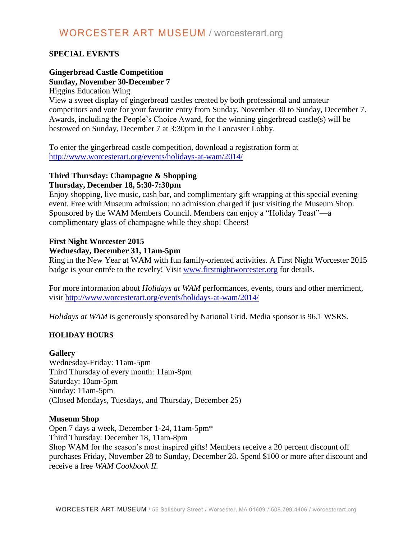# **WORCESTER ART MUSEUM / worcesterart.org**

### **SPECIAL EVENTS**

### **Gingerbread Castle Competition Sunday, November 30-December 7**

Higgins Education Wing

View a sweet display of gingerbread castles created by both professional and amateur competitors and vote for your favorite entry from Sunday, November 30 to Sunday, December 7. Awards, including the People's Choice Award, for the winning gingerbread castle(s) will be bestowed on Sunday, December 7 at 3:30pm in the Lancaster Lobby.

To enter the gingerbread castle competition, download a registration form at <http://www.worcesterart.org/events/holidays-at-wam/2014/>

### **Third Thursday: Champagne & Shopping Thursday, December 18, 5:30-7:30pm**

Enjoy shopping, live music, cash bar, and complimentary gift wrapping at this special evening event. Free with Museum admission; no admission charged if just visiting the Museum Shop. Sponsored by the WAM Members Council. Members can enjoy a "Holiday Toast"—a complimentary glass of champagne while they shop! Cheers!

### **First Night Worcester 2015**

### **Wednesday, December 31, 11am-5pm**

Ring in the New Year at WAM with fun family-oriented activities. A First Night Worcester 2015 badge is your entrée to the revelry! Visit [www.firstnightworcester.org](http://www.firstnightworcester.org/) for details.

For more information about *Holidays at WAM* performances, events, tours and other merriment, visit<http://www.worcesterart.org/events/holidays-at-wam/2014/>

*Holidays at WAM* is generously sponsored by National Grid. Media sponsor is 96.1 WSRS.

### **HOLIDAY HOURS**

### **Gallery**

Wednesday-Friday: 11am-5pm Third Thursday of every month: 11am-8pm Saturday: 10am-5pm Sunday: 11am-5pm (Closed Mondays, Tuesdays, and Thursday, December 25)

### **Museum Shop**

Open 7 days a week, December 1-24, 11am-5pm\* Third Thursday: December 18, 11am-8pm Shop WAM for the season's most inspired gifts! Members receive a 20 percent discount off purchases Friday, November 28 to Sunday, December 28. Spend \$100 or more after discount and receive a free *WAM Cookbook II.*